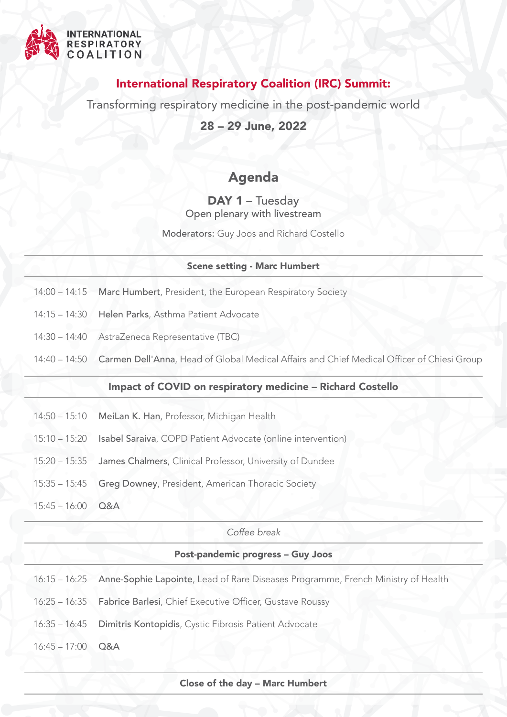

## International Respiratory Coalition (IRC) Summit:

Transforming respiratory medicine in the post-pandemic world

28 – 29 June, 2022

# Agenda

### DAY 1 – Tuesday Open plenary with livestream

Moderators: Guy Joos and Richard Costello

#### Scene setting - Marc Humbert

- $14:00 14:15$ Marc Humbert, President, the European Respiratory Society
- 14:15 14:30 Helen Parks, Asthma Patient Advocate
- 14:30 14:40 AstraZeneca Representative (TBC)
- 14:40 14:50 Carmen Dell'Anna, Head of Global Medical Affairs and Chief Medical Officer of Chiesi Group

### Impact of COVID on respiratory medicine – Richard Costello

- $14:50 15:10$ MeiLan K. Han, Professor, Michigan Health
- 15:10 15:20 Isabel Saraiva, COPD Patient Advocate (online intervention)
- 15:20 15:35 James Chalmers, Clinical Professor, University of Dundee
- 15:35 15:45 Greg Downey, President, American Thoracic Society
- 15:45 16:00 Q&A

#### *Coffee break*

#### Post-pandemic progress – Guy Joos

- 16:15 16:25 Anne-Sophie Lapointe, Lead of Rare Diseases Programme, French Ministry of Health
- 16:25 16:35 Fabrice Barlesi, Chief Executive Officer, Gustave Roussy
- 16:35 16:45 Dimitris Kontopidis, Cystic Fibrosis Patient Advocate
- 16:45 17:00 Q&A

Close of the day – Marc Humbert